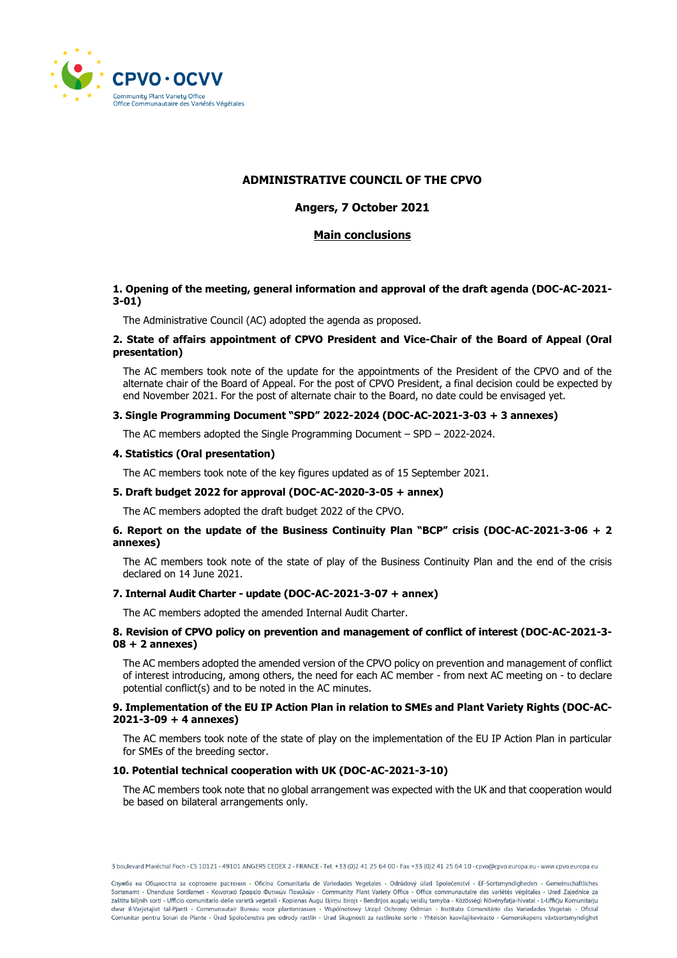

# **ADMINISTRATIVE COUNCIL OF THE CPVO**

# **Angers, 7 October 2021**

# **Main conclusions**

# **1. Opening of the meeting, general information and approval of the draft agenda (DOC-AC-2021- 3-01)**

The Administrative Council (AC) adopted the agenda as proposed.

## **2. State of affairs appointment of CPVO President and Vice-Chair of the Board of Appeal (Oral presentation)**

The AC members took note of the update for the appointments of the President of the CPVO and of the alternate chair of the Board of Appeal. For the post of CPVO President, a final decision could be expected by end November 2021. For the post of alternate chair to the Board, no date could be envisaged yet.

## **3. Single Programming Document "SPD" 2022-2024 (DOC-AC-2021-3-03 + 3 annexes)**

The AC members adopted the Single Programming Document – SPD – 2022-2024.

# **4. Statistics (Oral presentation)**

The AC members took note of the key figures updated as of 15 September 2021.

# **5. Draft budget 2022 for approval (DOC-AC-2020-3-05 + annex)**

The AC members adopted the draft budget 2022 of the CPVO.

## **6. Report on the update of the Business Continuity Plan "BCP" crisis (DOC-AC-2021-3-06 + 2 annexes)**

The AC members took note of the state of play of the Business Continuity Plan and the end of the crisis declared on 14 June 2021.

# **7. Internal Audit Charter - update (DOC-AC-2021-3-07 + annex)**

The AC members adopted the amended Internal Audit Charter.

#### **8. Revision of CPVO policy on prevention and management of conflict of interest (DOC-AC-2021-3- 08 + 2 annexes)**

The AC members adopted the amended version of the CPVO policy on prevention and management of conflict of interest introducing, among others, the need for each AC member - from next AC meeting on - to declare potential conflict(s) and to be noted in the AC minutes.

#### **9. Implementation of the EU IP Action Plan in relation to SMEs and Plant Variety Rights (DOC-AC-2021-3-09 + 4 annexes)**

The AC members took note of the state of play on the implementation of the EU IP Action Plan in particular for SMEs of the breeding sector.

#### **10. Potential technical cooperation with UK (DOC-AC-2021-3-10)**

The AC members took note that no global arrangement was expected with the UK and that cooperation would be based on bilateral arrangements only.

3 boulevard Maréchal Foch + CS 10121 + 49101 ANGERS CEDEX 2 + FRANCE + Tel. +33 (0)2 41 25 64 00 + Fax +33 (0)2 41 25 64 10 + cpvo@cpvo.europa.eu + www.cpvo.europa.eu

Служба на Общността за сортовете растения - Oficina Comunitaria de Variedades Vegetales - Odrůdový úřad Společenství - EF-Sortsmyndigheden - Gemeinschaftliches Sortenamt - Ühenduse Sordiamet - Κοινοτικό Γραφείο Φυτικών Ποικιλιών - Community Plant Variety Office - Office communautaire des variétés végétales - Ured Zajednice za zaštitu biljnih sorti - Ufficio comunitario delle varietà vegetali - Kopienas Augu šķirņu birojs - Bendrijos augalų veislių tarnyba - Közösségi Növényfatja-hivatal - L-Ufficju Komunitarju dwar il-Varjetajiet tal-Pjanti - Communautair Bureau voor plantenrassen - Wspólnotowy Urząd Ochrony Odmian - Instituto Comunitário das Variedades Vegetais - Oficiul<br>Comunitar pentru Soiuri de Plante - Úrad Spoločenstva pre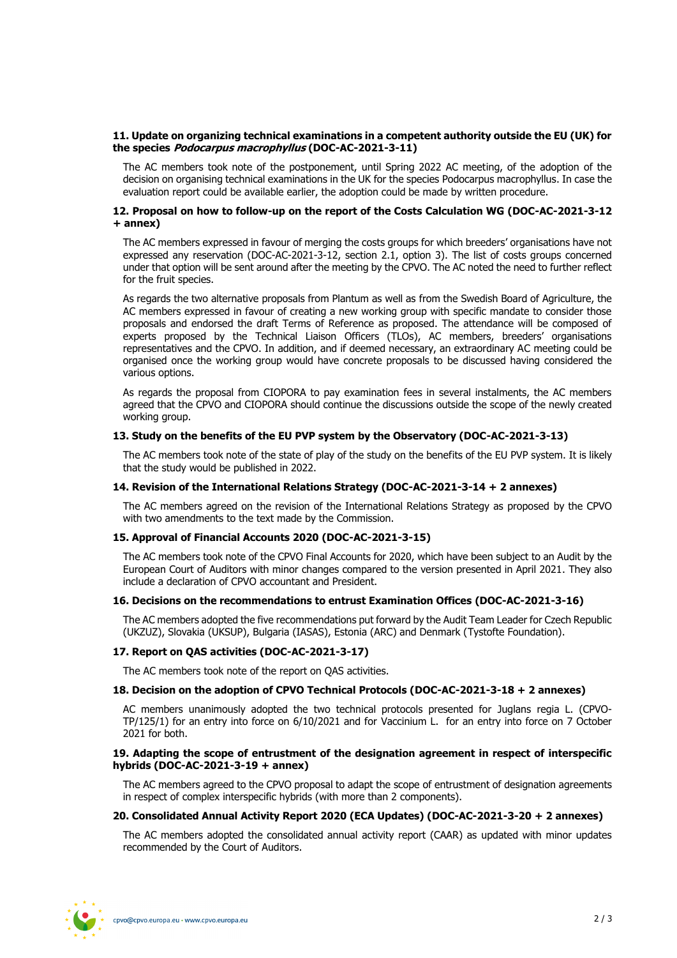# **11. Update on organizing technical examinations in a competent authority outside the EU (UK) for the species Podocarpus macrophyllus (DOC-AC-2021-3-11)**

The AC members took note of the postponement, until Spring 2022 AC meeting, of the adoption of the decision on organising technical examinations in the UK for the species Podocarpus macrophyllus. In case the evaluation report could be available earlier, the adoption could be made by written procedure.

# **12. Proposal on how to follow-up on the report of the Costs Calculation WG (DOC-AC-2021-3-12 + annex)**

The AC members expressed in favour of merging the costs groups for which breeders' organisations have not expressed any reservation (DOC-AC-2021-3-12, section 2.1, option 3). The list of costs groups concerned under that option will be sent around after the meeting by the CPVO. The AC noted the need to further reflect for the fruit species.

As regards the two alternative proposals from Plantum as well as from the Swedish Board of Agriculture, the AC members expressed in favour of creating a new working group with specific mandate to consider those proposals and endorsed the draft Terms of Reference as proposed. The attendance will be composed of experts proposed by the Technical Liaison Officers (TLOs), AC members, breeders' organisations representatives and the CPVO. In addition, and if deemed necessary, an extraordinary AC meeting could be organised once the working group would have concrete proposals to be discussed having considered the various options.

As regards the proposal from CIOPORA to pay examination fees in several instalments, the AC members agreed that the CPVO and CIOPORA should continue the discussions outside the scope of the newly created working group.

## **13. Study on the benefits of the EU PVP system by the Observatory (DOC-AC-2021-3-13)**

The AC members took note of the state of play of the study on the benefits of the EU PVP system. It is likely that the study would be published in 2022.

#### **14. Revision of the International Relations Strategy (DOC-AC-2021-3-14 + 2 annexes)**

The AC members agreed on the revision of the International Relations Strategy as proposed by the CPVO with two amendments to the text made by the Commission.

# **15. Approval of Financial Accounts 2020 (DOC-AC-2021-3-15)**

The AC members took note of the CPVO Final Accounts for 2020, which have been subject to an Audit by the European Court of Auditors with minor changes compared to the version presented in April 2021. They also include a declaration of CPVO accountant and President.

# **16. Decisions on the recommendations to entrust Examination Offices (DOC-AC-2021-3-16)**

The AC members adopted the five recommendations put forward by the Audit Team Leader for Czech Republic (UKZUZ), Slovakia (UKSUP), Bulgaria (IASAS), Estonia (ARC) and Denmark (Tystofte Foundation).

# **17. Report on QAS activities (DOC-AC-2021-3-17)**

The AC members took note of the report on QAS activities.

#### **18. Decision on the adoption of CPVO Technical Protocols (DOC-AC-2021-3-18 + 2 annexes)**

AC members unanimously adopted the two technical protocols presented for Juglans regia L. (CPVO-TP/125/1) for an entry into force on 6/10/2021 and for Vaccinium L. for an entry into force on 7 October 2021 for both.

# **19. Adapting the scope of entrustment of the designation agreement in respect of interspecific hybrids (DOC-AC-2021-3-19 + annex)**

The AC members agreed to the CPVO proposal to adapt the scope of entrustment of designation agreements in respect of complex interspecific hybrids (with more than 2 components).

### **20. Consolidated Annual Activity Report 2020 (ECA Updates) (DOC-AC-2021-3-20 + 2 annexes)**

The AC members adopted the consolidated annual activity report (CAAR) as updated with minor updates recommended by the Court of Auditors.